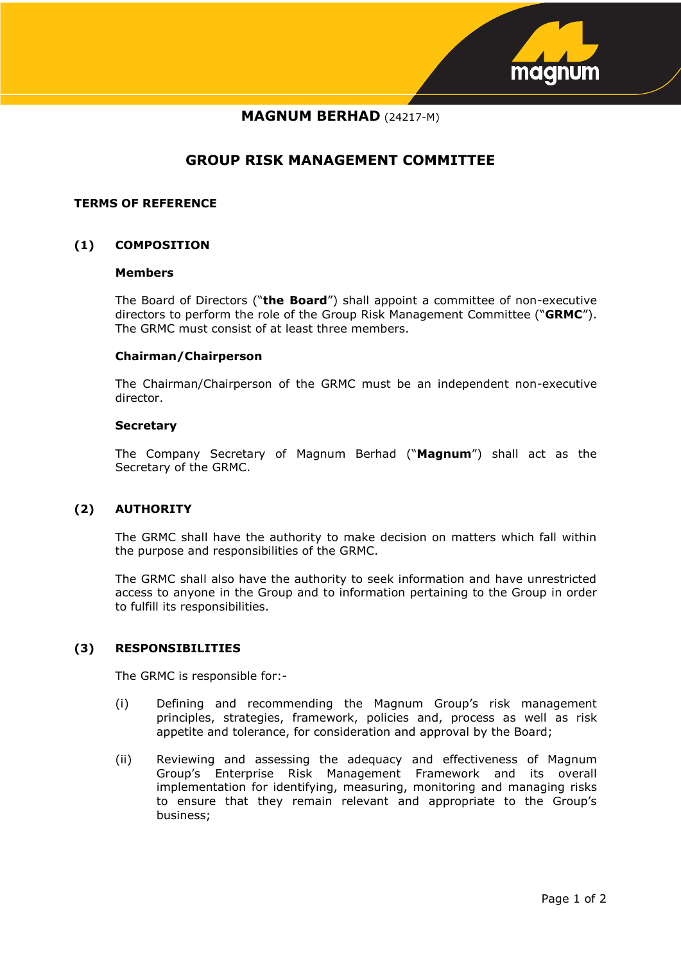

# **MAGNUM BERHAD** (24217-M)

# **GROUP RISK MANAGEMENT COMMITTEE**

### **TERMS OF REFERENCE**

## **(1) COMPOSITION**

#### **Members**

The Board of Directors ("**the Board**") shall appoint a committee of non-executive directors to perform the role of the Group Risk Management Committee ("**GRMC**"). The GRMC must consist of at least three members.

#### **Chairman/Chairperson**

The Chairman/Chairperson of the GRMC must be an independent non-executive director.

#### **Secretary**

The Company Secretary of Magnum Berhad ("**Magnum**") shall act as the Secretary of the GRMC.

## **(2) AUTHORITY**

The GRMC shall have the authority to make decision on matters which fall within the purpose and responsibilities of the GRMC.

The GRMC shall also have the authority to seek information and have unrestricted access to anyone in the Group and to information pertaining to the Group in order to fulfill its responsibilities.

# **(3) RESPONSIBILITIES**

The GRMC is responsible for:-

- (i) Defining and recommending the Magnum Group's risk management principles, strategies, framework, policies and, process as well as risk appetite and tolerance, for consideration and approval by the Board;
- (ii) Reviewing and assessing the adequacy and effectiveness of Magnum Group's Enterprise Risk Management Framework and its overall implementation for identifying, measuring, monitoring and managing risks to ensure that they remain relevant and appropriate to the Group's business;